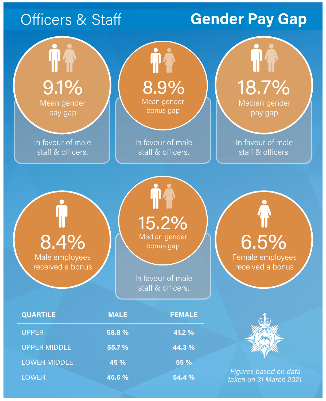# Officers & Staff

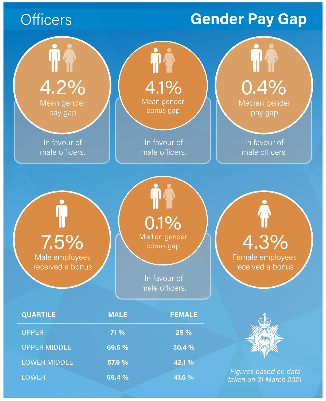# **Officers**

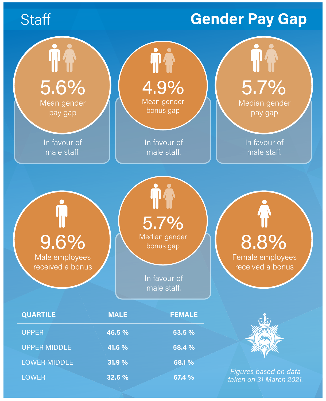# **Staff**

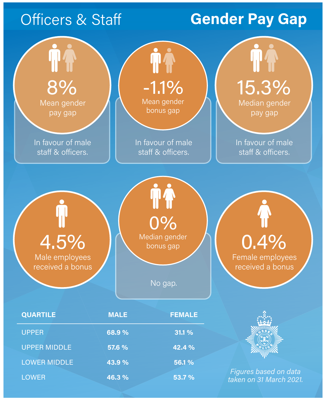# Officers & Staff

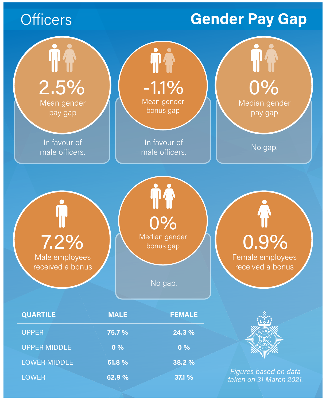# **Officers**